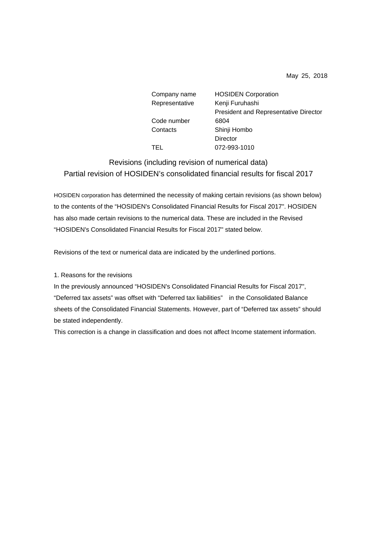May 25, 2018

| Company name   | <b>HOSIDEN Corporation</b>                   |
|----------------|----------------------------------------------|
| Representative | Kenji Furuhashi                              |
|                | <b>President and Representative Director</b> |
| Code number    | 6804                                         |
| Contacts       | Shinji Hombo                                 |
|                | Director                                     |
| TEL.           | 072-993-1010                                 |

Revisions (including revision of numerical data) Partial revision of HOSIDEN's consolidated financial results for fiscal 2017

HOSIDEN corporation has determined the necessity of making certain revisions (as shown below) to the contents of the "HOSIDEN's Consolidated Financial Results for Fiscal 2017". HOSIDEN has also made certain revisions to the numerical data. These are included in the Revised "HOSIDEN's Consolidated Financial Results for Fiscal 2017" stated below.

Revisions of the text or numerical data are indicated by the underlined portions.

1. Reasons for the revisions

In the previously announced "HOSIDEN's Consolidated Financial Results for Fiscal 2017", "Deferred tax assets" was offset with "Deferred tax liabilities" in the Consolidated Balance sheets of the Consolidated Financial Statements. However, part of "Deferred tax assets" should be stated independently.

This correction is a change in classification and does not affect Income statement information.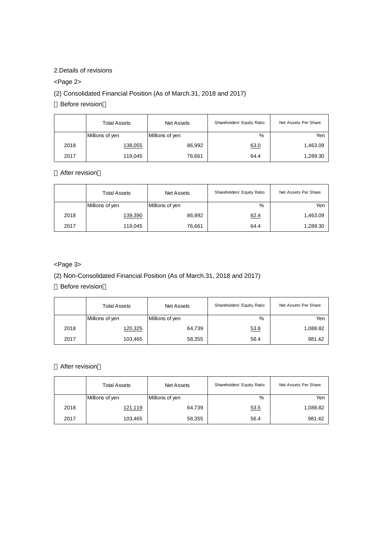## 2.Details of revisions

# <Page 2>

# (2) Consolidated Financial Position (As of March.31, 2018 and 2017)

Before revision

|      | <b>Total Assets</b> | <b>Net Assets</b> | Shareholders' Equity Ratio | Net Assets Per Share |
|------|---------------------|-------------------|----------------------------|----------------------|
|      | Millions of yen     | Millions of yen   | %                          | Yen                  |
| 2018 | 138,055             | 86,992            | 63.0                       | 1,463.09             |
| 2017 | 119,045             | 76,661            | 64.4                       | 1,289.30             |

After revision

|      | Total Assets    | Net Assets      | Shareholders' Equity Ratio | Net Assets Per Share |
|------|-----------------|-----------------|----------------------------|----------------------|
|      | Millions of yen | Millions of yen | %                          | Yen                  |
| 2018 | 139,390         | 86,992          | 62.4                       | 1,463.09             |
| 2017 | 119,045         | 76,661          | 64.4                       | 1,289.30             |

# <Page 3>

# (2) Non-Consolidated Financial Position (As of March.31, 2018 and 2017)

Before revision

|      | <b>Total Assets</b> | <b>Net Assets</b> | Shareholders' Equity Ratio | Net Assets Per Share |
|------|---------------------|-------------------|----------------------------|----------------------|
|      | Millions of yen     | Millions of yen   | %                          | Yen                  |
| 2018 | 120,325             | 64,739            | 53.8                       | 1,088.82             |
| 2017 | 103,465             | 58,355            | 56.4                       | 981.42               |

After revision

|      | <b>Total Assets</b> | <b>Net Assets</b> | Shareholders' Equity Ratio | Net Assets Per Share |
|------|---------------------|-------------------|----------------------------|----------------------|
|      | Millions of yen     | Millions of yen   | %                          | Yen                  |
| 2018 | 121,119             | 64,739            | 53.5                       | 1,088.82             |
| 2017 | 103,465             | 58,355            | 56.4                       | 981.42               |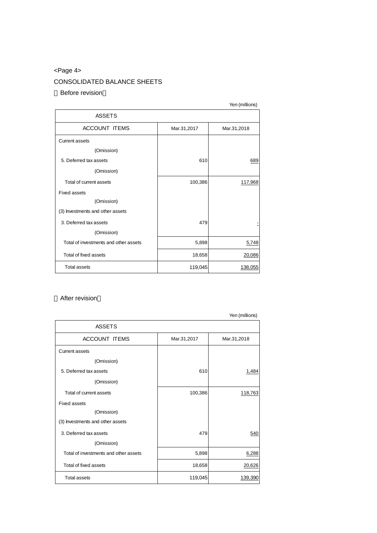# <Page 4>

# CONSOLIDATED BALANCE SHEETS

#### Before revision

|                                       |             | Yen (millions) |
|---------------------------------------|-------------|----------------|
| <b>ASSETS</b>                         |             |                |
| <b>ACCOUNT ITEMS</b>                  | Mar.31,2017 | Mar.31,2018    |
| Current assets                        |             |                |
| (Omission)                            |             |                |
| 5. Deferred tax assets                | 610         | 689            |
| (Omission)                            |             |                |
| Total of current assets               | 100,386     | 117,968        |
| <b>Fixed assets</b>                   |             |                |
| (Omission)                            |             |                |
| (3) Investments and other assets      |             |                |
| 3. Deferred tax assets                | 479         |                |
| (Omission)                            |             |                |
| Total of investments and other assets | 5,898       | 5,748          |
| Total of fixed assets                 | 18,658      | 20,086         |
| <b>Total assets</b>                   | 119,045     | <u>138,055</u> |

### After revision

|                                       |             | Yen (millions) |
|---------------------------------------|-------------|----------------|
| <b>ASSETS</b>                         |             |                |
| ACCOUNT ITEMS                         | Mar.31,2017 | Mar.31,2018    |
| <b>Current assets</b>                 |             |                |
| (Omission)                            |             |                |
| 5. Deferred tax assets                | 610         | 1,484          |
| (Omission)                            |             |                |
| Total of current assets               | 100,386     | 118,763        |
| <b>Fixed assets</b>                   |             |                |
| (Omission)                            |             |                |
| (3) Investments and other assets      |             |                |
| 3. Deferred tax assets                | 479         | 540            |
| (Omission)                            |             |                |
| Total of investments and other assets | 5,898       | 6,288          |
| Total of fixed assets                 | 18,658      | 20,626         |
| <b>Total assets</b>                   | 119,045     | 139,390        |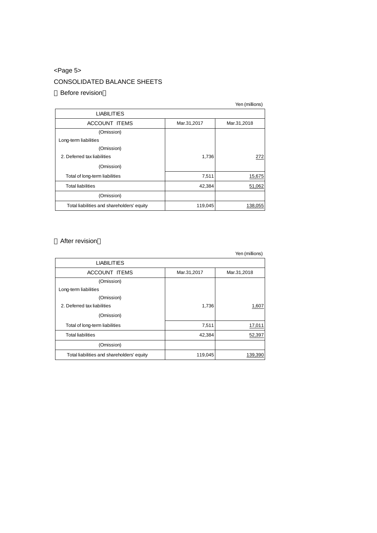# <Page 5>

# CONSOLIDATED BALANCE SHEETS

### Before revision

|                                            |             | Yen (millions) |
|--------------------------------------------|-------------|----------------|
| <b>LIABILITIES</b>                         |             |                |
| <b>ACCOUNT ITEMS</b>                       | Mar.31,2017 | Mar.31,2018    |
| (Omission)                                 |             |                |
| Long-term liabilities                      |             |                |
| (Omission)                                 |             |                |
| 2. Deferred tax liabilities                | 1,736       | 272            |
| (Omission)                                 |             |                |
| Total of long-term liabilities             | 7,511       | 15,675         |
| <b>Total liabilities</b>                   | 42,384      | 51,062         |
| (Omission)                                 |             |                |
| Total liabilities and shareholders' equity | 119,045     | 138,055        |

### After revision

|                                            |             | Yen (millions) |
|--------------------------------------------|-------------|----------------|
| <b>LIABILITIES</b>                         |             |                |
| <b>ACCOUNT ITEMS</b>                       | Mar.31,2017 | Mar.31,2018    |
| (Omission)                                 |             |                |
| Long-term liabilities                      |             |                |
| (Omission)                                 |             |                |
| 2. Deferred tax liabilities                | 1,736       | 1,607          |
| (Omission)                                 |             |                |
| Total of long-term liabilities             | 7,511       | 17,011         |
| <b>Total liabilities</b>                   | 42,384      | 52,397         |
| (Omission)                                 |             |                |
| Total liabilities and shareholders' equity | 119,045     | 139,390        |